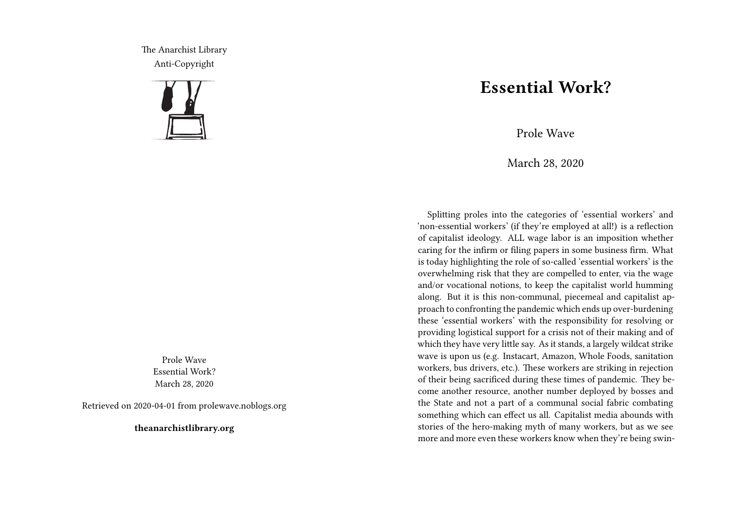The Anarchist Library Anti-Copyright



Prole Wave Essential Work? March 28, 2020

Retrieved on 2020-04-01 from prolewave.noblogs.org

**theanarchistlibrary.org**

## **Essential Work?**

Prole Wave

March 28, 2020

Splitting proles into the categories of 'essential workers' and 'non-essential workers' (if they're employed at all!) is a reflection of capitalist ideology. ALL wage labor is an imposition whether caring for the infirm or filing papers in some business firm. What is today highlighting the role of so-called 'essential workers' is the overwhelming risk that they are compelled to enter, via the wage and/or vocational notions, to keep the capitalist world humming along. But it is this non-communal, piecemeal and capitalist approach to confronting the pandemic which ends up over-burdening these 'essential workers' with the responsibility for resolving or providing logistical support for a crisis not of their making and of which they have very little say. As it stands, a largely wildcat strike wave is upon us (e.g. Instacart, Amazon, Whole Foods, sanitation workers, bus drivers, etc.). These workers are striking in rejection of their being sacrificed during these times of pandemic. They become another resource, another number deployed by bosses and the State and not a part of a communal social fabric combating something which can effect us all. Capitalist media abounds with stories of the hero-making myth of many workers, but as we see more and more even these workers know when they're being swin